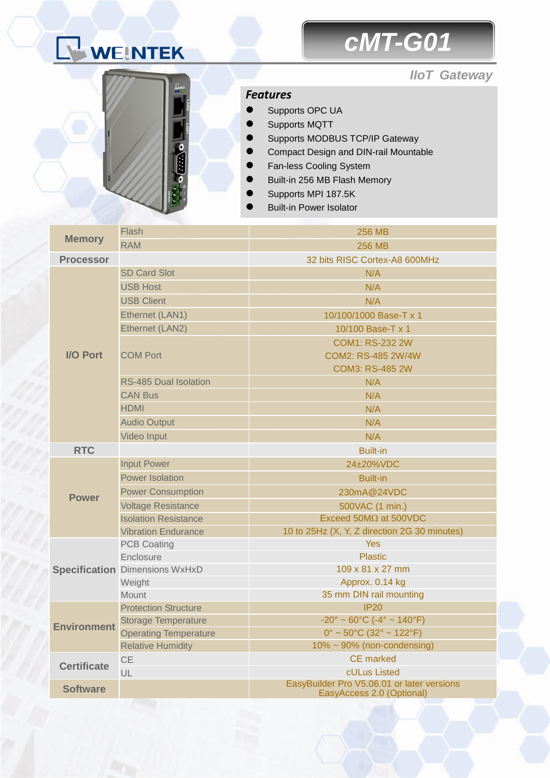# WEINTEK

## *cMT-G01*

#### *IIoT Gateway*



#### *Features*

- Supports OPC UA
- Supports MQTT
- Supports MODBUS TCP/IP Gateway
- Compact Design and DIN-rail Mountable
- Fan-less Cooling System
- Built-in 256 MB Flash Memory
- Supports MPI 187.5K
- Built-in Power Isolator

| <b>Memory</b>      | Flash                                 | <b>256 MB</b>                                                      |  |  |
|--------------------|---------------------------------------|--------------------------------------------------------------------|--|--|
|                    | <b>RAM</b>                            | <b>256 MB</b>                                                      |  |  |
| <b>Processor</b>   |                                       | 32 bits RISC Cortex-A8 600MHz                                      |  |  |
| <b>I/O Port</b>    | <b>SD Card Slot</b>                   | N/A                                                                |  |  |
|                    | <b>USB Host</b>                       | N/A                                                                |  |  |
|                    | <b>USB Client</b>                     | N/A                                                                |  |  |
|                    | Ethernet (LAN1)                       | 10/100/1000 Base-T x 1                                             |  |  |
|                    | Ethernet (LAN2)                       | 10/100 Base-T x 1                                                  |  |  |
|                    | <b>COM Port</b>                       | <b>COM1: RS-232 2W</b>                                             |  |  |
|                    |                                       | COM2: RS-485 2W/4W                                                 |  |  |
|                    |                                       | <b>COM3: RS-485 2W</b>                                             |  |  |
|                    | <b>RS-485 Dual Isolation</b>          | N/A                                                                |  |  |
|                    | <b>CAN Bus</b>                        | N/A                                                                |  |  |
|                    | <b>HDMI</b>                           | N/A                                                                |  |  |
|                    | <b>Audio Output</b>                   | N/A                                                                |  |  |
|                    | <b>Video Input</b>                    | N/A                                                                |  |  |
| <b>RTC</b>         |                                       | <b>Built-in</b>                                                    |  |  |
|                    | <b>Input Power</b>                    | 24±20%VDC                                                          |  |  |
|                    | <b>Power Isolation</b>                | <b>Built-in</b>                                                    |  |  |
| <b>Power</b>       | <b>Power Consumption</b>              | 230mA@24VDC                                                        |  |  |
|                    | <b>Voltage Resistance</b>             | 500VAC (1 min.)                                                    |  |  |
|                    | <b>Isolation Resistance</b>           | Exceed 50M $\Omega$ at 500VDC                                      |  |  |
|                    | <b>Vibration Endurance</b>            | 10 to 25Hz (X, Y, Z direction 2G 30 minutes)                       |  |  |
|                    | <b>PCB Coating</b>                    | <b>Yes</b>                                                         |  |  |
|                    | Enclosure                             | <b>Plastic</b>                                                     |  |  |
|                    | <b>Specification Dimensions WxHxD</b> | 109 x 81 x 27 mm                                                   |  |  |
|                    | Weight                                | Approx. 0.14 kg                                                    |  |  |
|                    | <b>Mount</b>                          | 35 mm DIN rail mounting                                            |  |  |
|                    | <b>Protection Structure</b>           | <b>IP20</b>                                                        |  |  |
| <b>Environment</b> | <b>Storage Temperature</b>            | $-20^{\circ} \sim 60^{\circ}$ C ( $-4^{\circ} \sim 140^{\circ}$ F) |  |  |
|                    | <b>Operating Temperature</b>          | $0^{\circ}$ ~ 50°C (32° ~ 122°F)                                   |  |  |
|                    | <b>Relative Humidity</b>              | $10\% \sim 90\%$ (non-condensing)                                  |  |  |
| <b>Certificate</b> | <b>CE</b>                             | <b>CE</b> marked                                                   |  |  |
|                    | UL                                    | cULus Listed<br>EasyBuilder Pro V5.06.01 or later versions         |  |  |
| <b>Software</b>    |                                       | EasyAccess 2.0 (Optional)                                          |  |  |